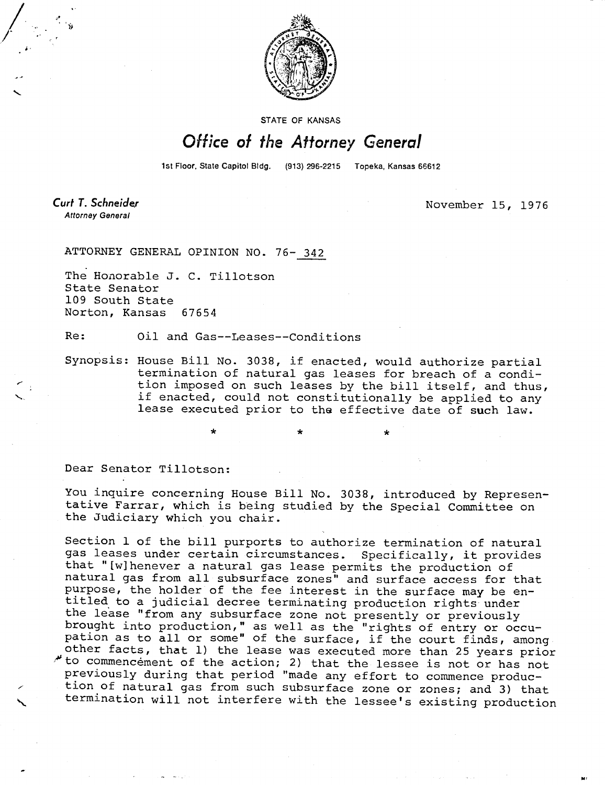

STATE OF KANSAS

## Office of the Attorney General

1st Floor, State Capitol Bldg. (913) 296-2215 Topeka, Kansas 66612

**Curt T. Schneider Attorney General** 

November 15, 1976

ATTORNEY GENERAL OPINION NO. 76- 342

The Honorable J. C. Tillotson State Senator 109 South State Norton, Kansas 67654

Re: Oil and Gas--Leases--Conditions

Synopsis: House Bill No. 3038, if enacted, would authorize partial termination of natural gas leases for breach of a condition imposed on such leases by the bill itself, and thus, if enacted, could not constitutionally be applied to any lease executed prior to the effective date of such law.

\* \*

Dear Senator Tillotson:

You inquire concerning House Bill No. 3038, introduced by Representative Farrar, which is being studied by the Special Committee on the Judiciary which you chair.

Section 1 of the bill purports to authorize termination of natural gas leases under certain circumstances. Specifically, it provides that "[w]henever a natural gas lease permits the production of natural gas from all subsurface zones" and surface access for that purpose, the holder of the fee interest in the surface may be entitled to a judicial decree terminating production rights under the lease "from any subsurface zone not presently or previously brought into production," as well as the "rights of entry or occupation as to all or some" of the surface, if the court finds, among other facts, that 1) the lease was executed more than 25 years prior to commencement of the action; 2) that the lessee is not or has not previously during that period "made any effort to commence production of natural gas from such subsurface zone or zones; and 3) that termination will not interfere with the lessee's existing production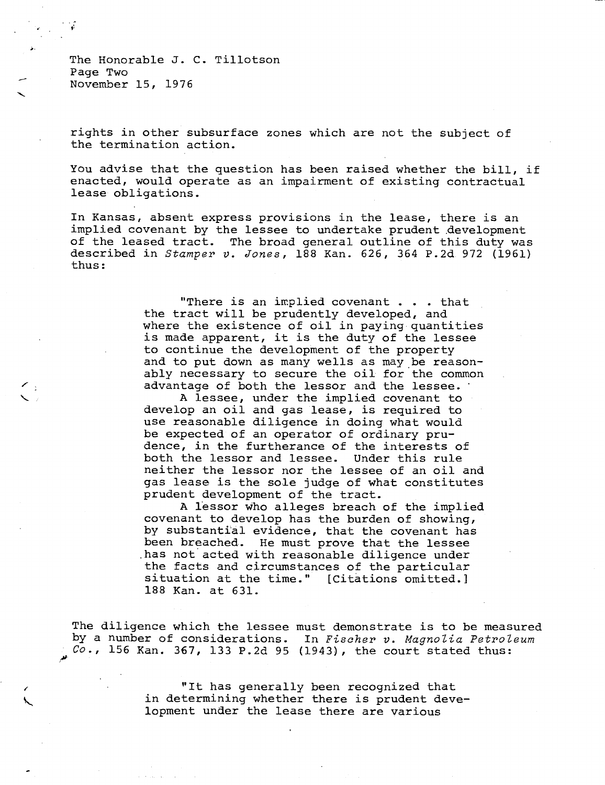The Honorable J. C. Tillotson Page Two November 15, 1976

rights in other subsurface zones which are not the subject of the termination action.

You advise that the question has been raised whether the bill, if enacted, would operate as an impairment of existing contractual lease obligations.

In Kansas, absent express provisions in the lease, there is an implied covenant by the lessee to undertake prudent .development of the leased tract. The broad general outline of this duty was described in Stamper v. Jones, 188 Kan. 626, 364 P.2d 972 (1961) thus:

> "There is an implied covenant . . . that the tract will be prudently developed, and where the existence of oil in paying quantities is made apparent, it is the duty of the lessee to continue the development of the property and to put down as many wells as may be reasonably necessary to secure the oil for the common advantage of both the lessor and the lessee.

> A lessee, under the implied covenant to develop an oil and gas lease, is required to use reasonable diligence in doing what would be expected of an operator of ordinary prudence, in the furtherance of the interests of both the lessor and lessee. Under this rule neither the lessor nor the lessee of an oil and gas lease is the sole judge of what constitutes prudent development of the tract.

> A lessor who alleges breach of the implied covenant to develop has the burden of showing, by substantial evidence, that the covenant has been breached. He must prove that the lessee .has not acted with reasonable diligence under the facts and circumstances of the particular situation at the time." [Citations omitted.] 188 Kan. at 631.

The diligence which the lessee must demonstrate is to be measured by a number of considerations. In Fischer v. Magnolia Petroleum  $Co.$ , 156 Kan. 367, 133 P.2d 95 (1943), the court stated thus:

> "It has generally been recognized that in determining whether there is prudent development under the lease there are various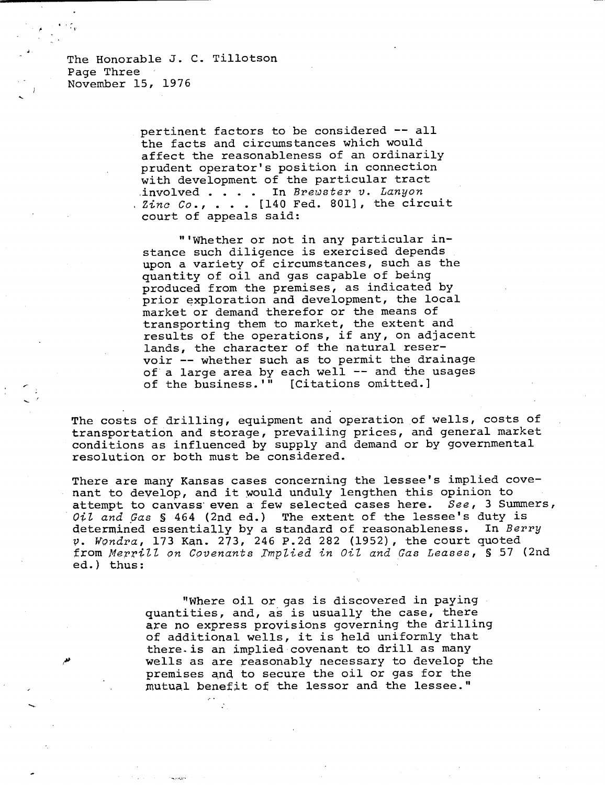The Honorable J. C. Tillotson Page Three November 15, 1976

> pertinent factors to be considered -- all the facts and circumstances which would affect the reasonableness of an ordinarily prudent operator's position in connection with development of the particular tract .involved . . . . In Brewster v. Lanyon . Zinc Co., . . . [140 Fed. 801], the circuit court of appeals said:

"'Whether or not in any particular instance such diligence is exercised depends upon a variety of circumstances, such as the quantity of oil and gas capable of being produced from the premises, as indicated by prior exploration and development, the local market or demand therefor or the means of transporting them to market, the extent and results of the operations, if any, on adjacent lands, the character of the natural reservoir -- whether such as to permit the drainage of a large area by each well -- and the usages<br>of the business.'" [Citations omitted.] of the business.<sup> $\overline{\mathbf{u}}$ </sup>

The costs of drilling, equipment and operation of wells, costs of transportation and storage, prevailing prices, and general market conditions as influenced by supply and demand or by governmental resolution or both must be considered.

There are many Kansas cases concerning the lessee's implied covenant to develop, and it would unduly lengthen this opinion to attempt to canvass even a few selected cases here. See, 3 Summers, Oil and Gas § 464 (2nd ed.) The extent of the lessee's duty is determined essentially by a standard of reasonableness. In Berry v. Wondra, 173 Kan. 273, 246 P.2d 282 (1952), the court quoted from Merrill on Covenants Implied in Oil and Gas Leases, § 57 (2nd ed.) thus:

> "Where oil or gas is discovered in paying quantities, and, as is usually the case, there are no express provisions governing the drilling of additional wells, it is held uniformly that there is an implied covenant to drill as many wells as are reasonably necessary to develop the premises and to secure the oil or gas for the mutual benefit of the lessor and the lessee."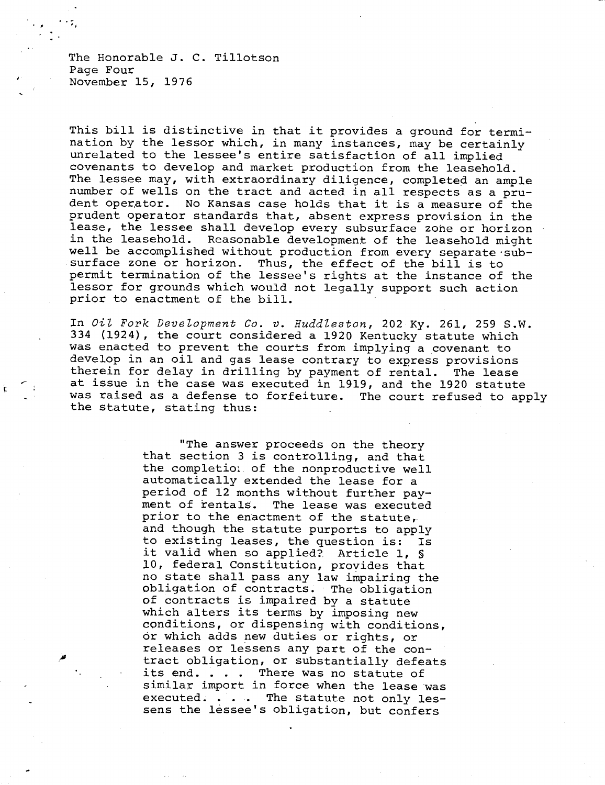The Honorable J. C. Tillotson Page Four November 15, 1976

This bill is distinctive in that it provides a ground for termination by the lessor which, in many instances, may be certainly unrelated to the lessee's entire satisfaction of all implied covenants to develop and market production from the leasehold. The lessee may, with extraordinary diligence, completed an ample number of wells on the tract and acted in all respects as a prudent operator. No Kansas case holds that it is a measure of the prudent operator standards that, absent express provision in the lease, the lessee shall develop every subsurface zone or horizon in the leasehold. Reasonable development of the leasehold might well be accomplished without production from every separate subsurface zone or horizon. Thus, the effect of the bill is to permit termination of the lessee's rights at the instance of the lessor for grounds which would not legally support such action prior to enactment of the bill.

In Oil Fork Development Co. v. Huddleston, 202 Ky. 261, 259 S.W. 334 (1924), the court considered a 1920 Kentucky statute which was enacted to prevent the courts from implying a covenant to develop in an oil and gas lease contrary to express provisions therein for delay in drilling by payment of rental. The lease at issue in the case was executed in 1919, and the 1920 statute was raised as a defense to forfeiture. The court refused to apply the statute, stating thus:

> "The answer proceeds on the theory that section 3 is controlling, and that the completion of the nonproductive well automatically extended the lease for a period of 12 months without further payment of rentals. The lease was executed prior to the enactment of the statute, and though the statute purports to apply to existing leases, the question is: Is it valid when so applied?. Article 1, § 10, federal Constitution, provides that no state shall pass any law impairing the obligation of contracts. The obligation of contracts is impaired by a statute which alters its terms by imposing new conditions, or dispensing with conditions, or which adds new duties or rights, or releases or lessens any part of the contract obligation, or substantially defeats its end. . . . There was no statute of similar import in force when the lease was executed. . . . The statute not only lessens the lessee's obligation, but confers